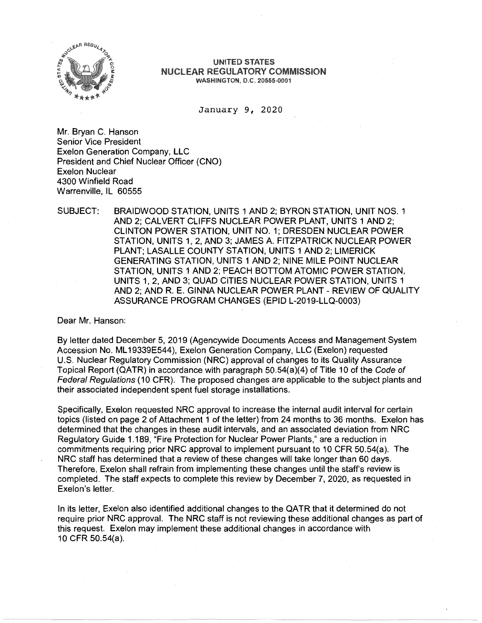

## UNITED STATES **NUCLEAR REGULATORY COMMISSION** WASHINGTON, D.C. 20555-0001

January 9, 2020

Mr. Bryan C. Hanson Senior Vice President Exelon Generation Company, LLC President and Chief Nuclear Officer (CNO) Exelon Nuclear 4300 Winfield Road Warrenville, IL 60555

SUBJECT: BRAIDWOOD STATION, UNITS 1 AND 2; BYRON STATION, UNIT NOS. 1 AND 2; CALVERT CLIFFS NUCLEAR POWER PLANT, UNITS 1 AND 2; CLINTON POWER STATION, UNIT NO. 1; DRESDEN NUCLEAR POWER STATION, UNITS 1, 2, AND 3; JAMES A. FITZPATRICK NUCLEAR POWER PLANT; LASALLE COUNTY STATION, UNITS 1 AND 2; LIMERICK GENERATING STATION, UNITS 1 AND 2; NINE MILE POINT NUCLEAR STATION, UNITS 1 AND 2; PEACH BOTTOM ATOMIC POWER STATION, UNITS 1, 2, AND 3; QUAD CITIES NUCLEAR POWER STATION, UNITS 1 AND 2; AND R. E. GINNA NUCLEAR POWER PLANT - REVIEW OF QUALITY ASSURANCE PROGRAM CHANGES (EPID L-2019-LLQ-0003)

Dear Mr. Hanson:

By letter dated December 5, 2019 (Agencywide Documents Access and Management System Accession No. ML 19339E544), Exelon Generation Company, LLC (Exelon) requested U.S. Nuclear Regulatory Commission (NRC) approval of changes to its Quality Assurance Topical Report (QATR) in accordance with paragraph 50.54(a)(4) of Title 10 of the Code of Federal Regulations (10 CFR). The proposed changes are applicable to the subject plants and their associated independent spent fuel storage installations.

Specifically, Exelon requested NRC approval to increase the internal audit interval for certain topics (listed on page 2 of Attachment 1 of the letter) from 24 months to 36 months. Exelon has determined that the changes in these audit intervals, and an associated deviation from NRC Regulatory Guide 1.189, "Fire Protection for Nuclear Power Plants," are a reduction in commitments requiring prior NRC approval to implement pursuant to 10 CFR 50.54(a). The NRC staff has determined that a review of these changes will take longer than 60 days. Therefore, Exelon shall refrain from implementing these changes until the staff's review is completed. The staff expects to complete this review by December 7, 2020, as requested in Exelon's letter.

In its letter, Exelon also identified additional changes to the QATR that it determined do not require prior NRC approval. The NRC staff is not reviewing these additional changes as part of this request. Exelon may implement these additional changes in accordance with 10 CFR 50.54(a).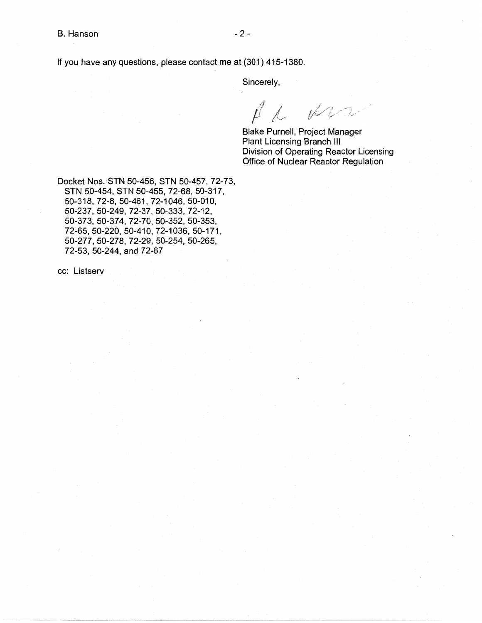If you have any questions, please contact me at (301) 415-1380.

Sincerely,

Mrs  $f \sim$ 

Blake Purnell, Project Manager Plant Licensing Branch III Division of Operating Reactor Licensing Office of Nuclear Reactor Regulation

Docket Nos. STN 50-456, STN 50-457, 72-73, STN 50-454, STN 50-455, 72-68, 50-317, 50-318, 72-8, 50-461, 72-1046, 50-010, 50-237, 50-249, 72-37, 50-333, 72-12, 50-373, 50-374, 72-70, 50-352, 50-353, 72-65, 50-220, 50-410, 72-1036, 50-171, 50-277, 50-278, 72-29, 50-254, 50-265, 72-53, 50-244, and 72-67

cc: Listserv